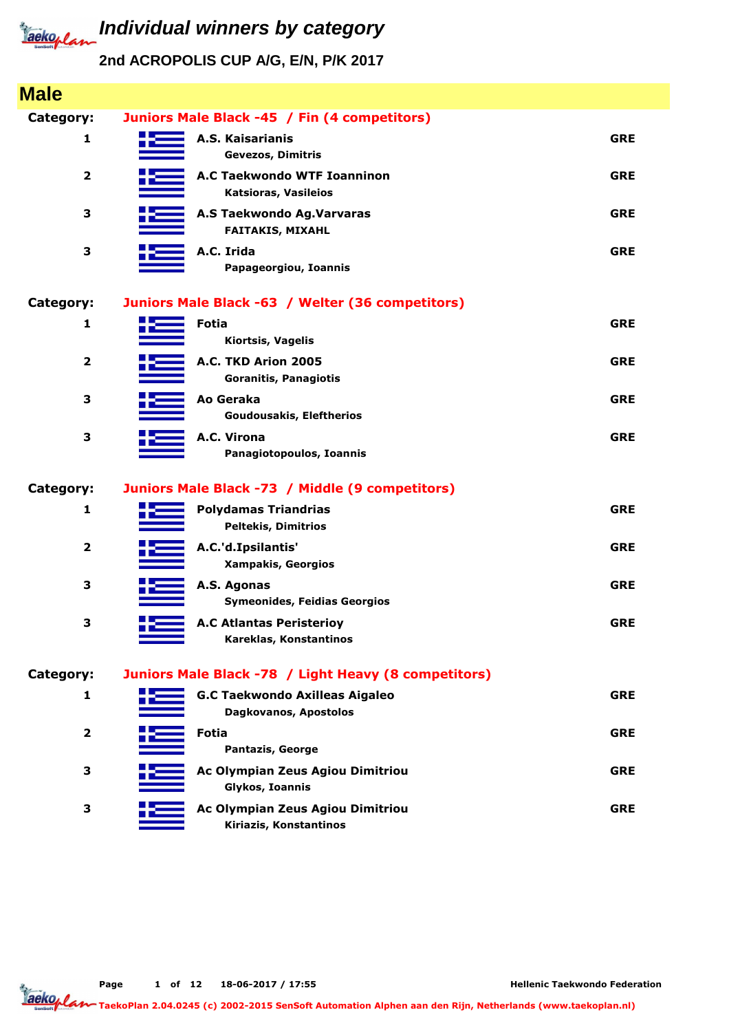

| <b>Male</b>             |                                                                |            |
|-------------------------|----------------------------------------------------------------|------------|
| Category:               | Juniors Male Black -45 / Fin (4 competitors)                   |            |
| 1                       | A.S. Kaisarianis<br>Gevezos, Dimitris                          | <b>GRE</b> |
| $\overline{\mathbf{2}}$ | A.C Taekwondo WTF Ioanninon<br>Katsioras, Vasileios            | <b>GRE</b> |
| 3                       | A.S Taekwondo Ag.Varvaras<br><b>FAITAKIS, MIXAHL</b>           | <b>GRE</b> |
| 3                       | A.C. Irida<br>Papageorgiou, Ioannis                            | <b>GRE</b> |
| Category:               | Juniors Male Black -63 / Welter (36 competitors)               |            |
| 1                       | <b>Fotia</b><br>Kiortsis, Vagelis                              | <b>GRE</b> |
| $\overline{\mathbf{2}}$ | A.C. TKD Arion 2005<br><b>Goranitis, Panagiotis</b>            | <b>GRE</b> |
| 3                       | Ao Geraka<br><b>Goudousakis, Eleftherios</b>                   | <b>GRE</b> |
| 3                       | A.C. Virona<br>Panagiotopoulos, Ioannis                        | <b>GRE</b> |
| Category:               | Juniors Male Black -73 / Middle (9 competitors)                |            |
| 1                       | <b>Polydamas Triandrias</b><br><b>Peltekis, Dimitrios</b>      | <b>GRE</b> |
| $\overline{\mathbf{2}}$ | A.C.'d.Ipsilantis'<br><b>Xampakis, Georgios</b>                | <b>GRE</b> |
| 3                       | A.S. Agonas<br><b>Symeonides, Feidias Georgios</b>             | <b>GRE</b> |
| 3                       | <b>A.C Atlantas Peristerioy</b><br>Kareklas, Konstantinos      | <b>GRE</b> |
| Category:               | Juniors Male Black -78 / Light Heavy (8 competitors)           |            |
| 1                       | <b>G.C Taekwondo Axilleas Aigaleo</b><br>Dagkovanos, Apostolos | <b>GRE</b> |
| $\overline{\mathbf{2}}$ | Fotia<br>Pantazis, George                                      | <b>GRE</b> |
| 3                       | Ac Olympian Zeus Agiou Dimitriou<br>Glykos, Ioannis            | <b>GRE</b> |
| 3                       | Ac Olympian Zeus Agiou Dimitriou<br>Kiriazis, Konstantinos     | <b>GRE</b> |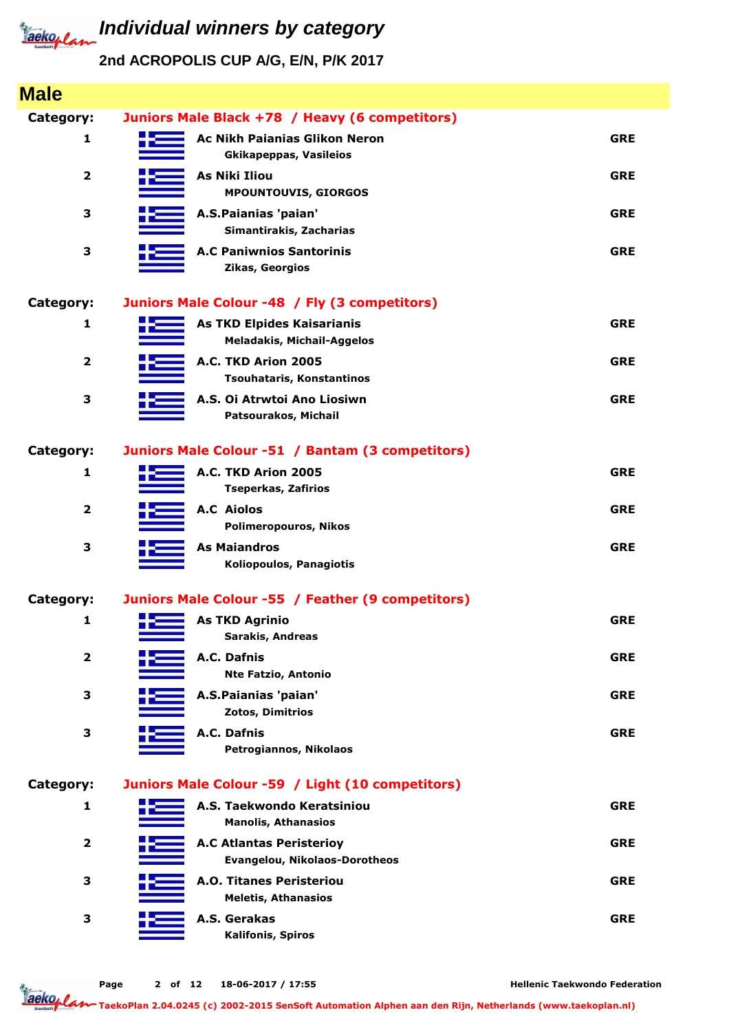

| <b>Male</b>             |                                                                        |            |
|-------------------------|------------------------------------------------------------------------|------------|
| Category:               | Juniors Male Black +78 / Heavy (6 competitors)                         |            |
| 1                       | <b>Ac Nikh Paianias Glikon Neron</b><br><b>Gkikapeppas, Vasileios</b>  | <b>GRE</b> |
| $\overline{\mathbf{2}}$ | <b>As Niki Iliou</b><br><b>MPOUNTOUVIS, GIORGOS</b>                    | <b>GRE</b> |
| 3                       | A.S.Paianias 'paian'<br>Simantirakis, Zacharias                        | <b>GRE</b> |
| 3                       | <b>A.C Paniwnios Santorinis</b><br>Zikas, Georgios                     | <b>GRE</b> |
| Category:               | Juniors Male Colour -48 / Fly (3 competitors)                          |            |
| 1                       | <b>As TKD Elpides Kaisarianis</b><br><b>Meladakis, Michail-Aggelos</b> | <b>GRE</b> |
| $\overline{\mathbf{2}}$ | A.C. TKD Arion 2005<br>Tsouhataris, Konstantinos                       | <b>GRE</b> |
| 3                       | A.S. Oi Atrwtoi Ano Liosiwn<br>Patsourakos, Michail                    | <b>GRE</b> |
| Category:               | Juniors Male Colour -51 / Bantam (3 competitors)                       |            |
| 1                       | A.C. TKD Arion 2005<br><b>Tseperkas, Zafirios</b>                      | <b>GRE</b> |
| $\overline{\mathbf{2}}$ | <b>A.C</b> Aiolos<br><b>Polimeropouros, Nikos</b>                      | <b>GRE</b> |
| 3                       | <b>As Maiandros</b><br>Koliopoulos, Panagiotis                         | <b>GRE</b> |
| Category:               | Juniors Male Colour -55 / Feather (9 competitors)                      |            |
| 1                       | <b>As TKD Agrinio</b><br><b>Sarakis, Andreas</b>                       | <b>GRE</b> |
| $\overline{\mathbf{2}}$ | A.C. Dafnis<br><b>Nte Fatzio, Antonio</b>                              | <b>GRE</b> |
| 3                       | A.S.Paianias 'paian'<br>Zotos, Dimitrios                               | <b>GRE</b> |
| 3                       | A.C. Dafnis<br>Petrogiannos, Nikolaos                                  | <b>GRE</b> |
| Category:               | Juniors Male Colour -59 / Light (10 competitors)                       |            |
| $\mathbf{1}$            | A.S. Taekwondo Keratsiniou<br><b>Manolis, Athanasios</b>               | <b>GRE</b> |
| $\overline{\mathbf{2}}$ | <b>A.C Atlantas Peristerioy</b><br>Evangelou, Nikolaos-Dorotheos       | <b>GRE</b> |
| 3                       | <b>A.O. Titanes Peristeriou</b><br><b>Meletis, Athanasios</b>          | <b>GRE</b> |
| 3                       | A.S. Gerakas<br><b>Kalifonis, Spiros</b>                               | <b>GRE</b> |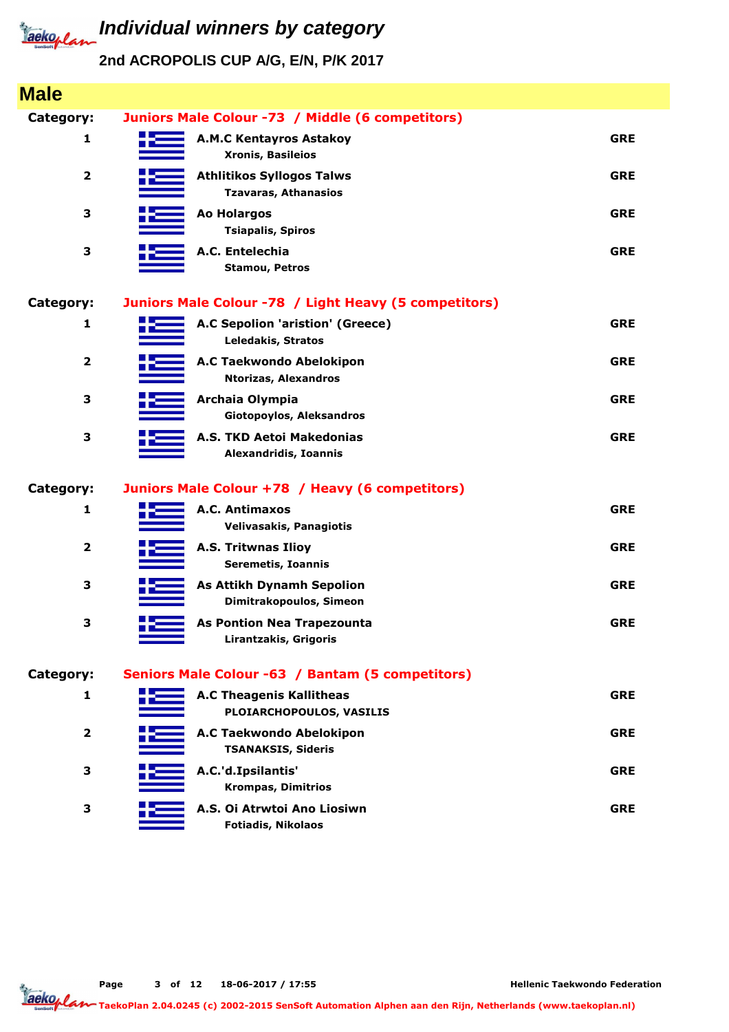

| <b>Male</b>             |                                                                 |            |
|-------------------------|-----------------------------------------------------------------|------------|
| Category:               | Juniors Male Colour -73 / Middle (6 competitors)                |            |
| 1                       | <b>A.M.C Kentayros Astakoy</b><br><b>Xronis, Basileios</b>      | <b>GRE</b> |
| $\overline{\mathbf{2}}$ | <b>Athlitikos Syllogos Talws</b><br><b>Tzavaras, Athanasios</b> | <b>GRE</b> |
| 3                       | <b>Ao Holargos</b><br><b>Tsiapalis, Spiros</b>                  | <b>GRE</b> |
| 3                       | A.C. Entelechia<br><b>Stamou, Petros</b>                        | <b>GRE</b> |
| Category:               | Juniors Male Colour -78 / Light Heavy (5 competitors)           |            |
| 1                       | A.C Sepolion 'aristion' (Greece)<br><b>Leledakis, Stratos</b>   | <b>GRE</b> |
| $\overline{\mathbf{2}}$ | A.C Taekwondo Abelokipon<br><b>Ntorizas, Alexandros</b>         | <b>GRE</b> |
| 3                       | Archaia Olympia<br>Giotopoylos, Aleksandros                     | <b>GRE</b> |
| 3                       | A.S. TKD Aetoi Makedonias<br><b>Alexandridis, Ioannis</b>       | <b>GRE</b> |
| <b>Category:</b>        | Juniors Male Colour +78 / Heavy (6 competitors)                 |            |
| 1                       | A.C. Antimaxos<br>Velivasakis, Panagiotis                       | <b>GRE</b> |
| $\overline{\mathbf{2}}$ | <b>A.S. Tritwnas Ilioy</b><br><b>Seremetis, Ioannis</b>         | <b>GRE</b> |
| 3                       | <b>As Attikh Dynamh Sepolion</b><br>Dimitrakopoulos, Simeon     | <b>GRE</b> |
| 3                       | <b>As Pontion Nea Trapezounta</b><br>Lirantzakis, Grigoris      | <b>GRE</b> |
| Category:               | Seniors Male Colour -63 / Bantam (5 competitors)                |            |
| 1                       | <b>A.C Theagenis Kallitheas</b><br>PLOIARCHOPOULOS, VASILIS     | <b>GRE</b> |
| $\mathbf{2}$            | A.C Taekwondo Abelokipon<br><b>TSANAKSIS, Sideris</b>           | <b>GRE</b> |
| 3                       | A.C.'d.Ipsilantis'<br><b>Krompas, Dimitrios</b>                 | <b>GRE</b> |
| 3                       | A.S. Oi Atrwtoi Ano Liosiwn<br><b>Fotiadis, Nikolaos</b>        | <b>GRE</b> |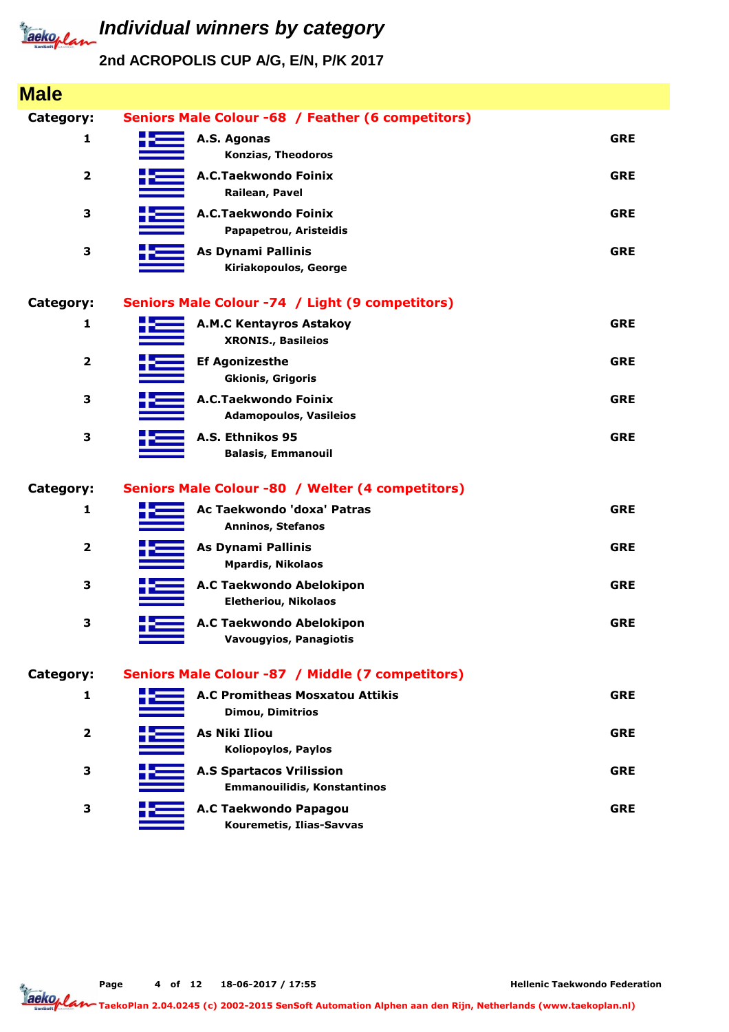

| <b>Male</b>             |                                                                       |            |
|-------------------------|-----------------------------------------------------------------------|------------|
| Category:               | Seniors Male Colour -68 / Feather (6 competitors)                     |            |
| 1                       | A.S. Agonas<br>Konzias, Theodoros                                     | <b>GRE</b> |
| $\overline{\mathbf{2}}$ | A.C.Taekwondo Foinix<br>Railean, Pavel                                | <b>GRE</b> |
| 3                       | A.C.Taekwondo Foinix<br>Papapetrou, Aristeidis                        | <b>GRE</b> |
| 3                       | <b>As Dynami Pallinis</b><br>Kiriakopoulos, George                    | <b>GRE</b> |
| Category:               | Seniors Male Colour -74 / Light (9 competitors)                       |            |
| 1                       | <b>A.M.C Kentayros Astakoy</b><br><b>XRONIS., Basileios</b>           | <b>GRE</b> |
| $\overline{\mathbf{2}}$ | <b>Ef Agonizesthe</b><br><b>Gkionis, Grigoris</b>                     | <b>GRE</b> |
| 3                       | A.C.Taekwondo Foinix<br><b>Adamopoulos, Vasileios</b>                 | <b>GRE</b> |
| 3                       | A.S. Ethnikos 95<br><b>Balasis, Emmanouil</b>                         | <b>GRE</b> |
| <b>Category:</b>        | Seniors Male Colour -80 / Welter (4 competitors)                      |            |
| $\mathbf{1}$            | Ac Taekwondo 'doxa' Patras<br>Anninos, Stefanos                       | <b>GRE</b> |
| $\overline{\mathbf{2}}$ | <b>As Dynami Pallinis</b><br><b>Mpardis, Nikolaos</b>                 | <b>GRE</b> |
| 3                       | A.C Taekwondo Abelokipon<br><b>Eletheriou, Nikolaos</b>               | <b>GRE</b> |
| 3                       | A.C Taekwondo Abelokipon<br>Vavougyios, Panagiotis                    | <b>GRE</b> |
| Category:               | Seniors Male Colour -87 / Middle (7 competitors)                      |            |
| 1                       | <b>A.C Promitheas Mosxatou Attikis</b><br><b>Dimou, Dimitrios</b>     | <b>GRE</b> |
| $\overline{\mathbf{2}}$ | <b>As Niki Iliou</b><br><b>Koliopoylos, Paylos</b>                    | <b>GRE</b> |
| 3                       | <b>A.S Spartacos Vrilission</b><br><b>Emmanouilidis, Konstantinos</b> | <b>GRE</b> |
| 3                       | A.C Taekwondo Papagou<br>Kouremetis, Ilias-Savvas                     | <b>GRE</b> |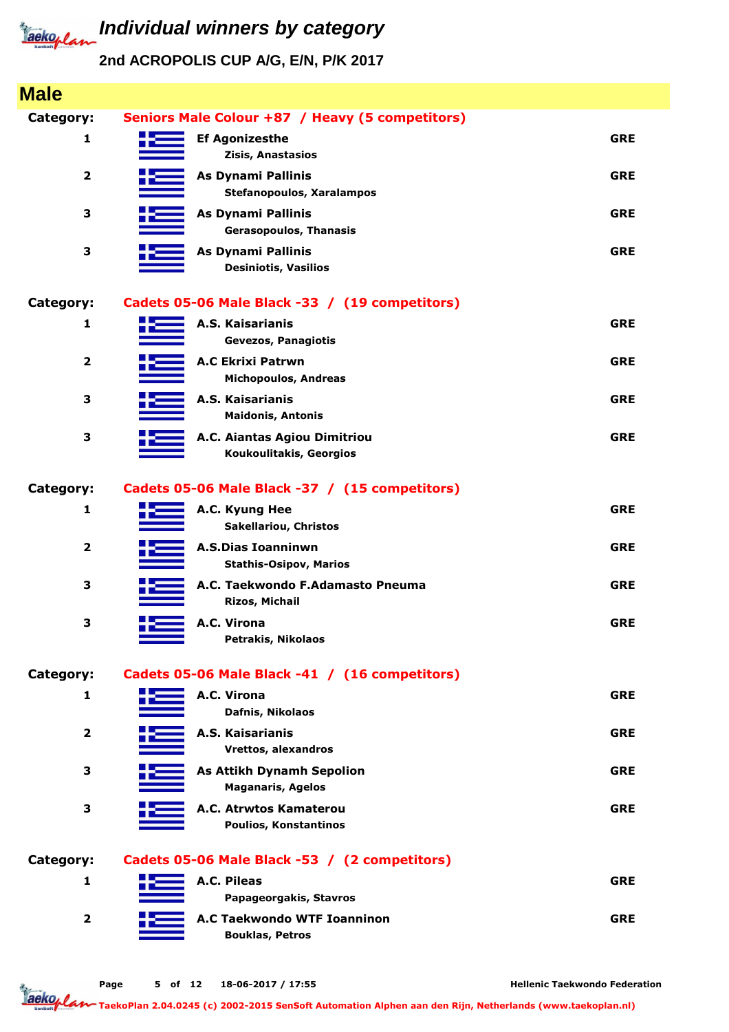

### **2nd ACROPOLIS CUP A/G, E/N, P/K 2017**

| <b>Male</b>             |                                                               |            |
|-------------------------|---------------------------------------------------------------|------------|
| <b>Category:</b>        | Seniors Male Colour +87 / Heavy (5 competitors)               |            |
| 1                       | <b>Ef Agonizesthe</b><br>Zisis, Anastasios                    | <b>GRE</b> |
| $\overline{\mathbf{2}}$ | <b>As Dynami Pallinis</b><br><b>Stefanopoulos, Xaralampos</b> | <b>GRE</b> |
| 3                       | <b>As Dynami Pallinis</b><br><b>Gerasopoulos, Thanasis</b>    | <b>GRE</b> |
| 3                       | <b>As Dynami Pallinis</b><br><b>Desiniotis, Vasilios</b>      | <b>GRE</b> |
| <b>Category:</b>        | Cadets 05-06 Male Black -33 / (19 competitors)                |            |
| 1                       | A.S. Kaisarianis<br><b>Gevezos, Panagiotis</b>                | <b>GRE</b> |
| $\overline{\mathbf{2}}$ | <b>A.C Ekrixi Patrwn</b><br><b>Michopoulos, Andreas</b>       | <b>GRE</b> |
| 3                       | A.S. Kaisarianis<br><b>Maidonis, Antonis</b>                  | <b>GRE</b> |
| 3                       | A.C. Aiantas Agiou Dimitriou<br>Koukoulitakis, Georgios       | <b>GRE</b> |
| <b>Category:</b>        | Cadets 05-06 Male Black -37 / (15 competitors)                |            |
| $\mathbf{1}$            | A.C. Kyung Hee<br><b>Sakellariou, Christos</b>                | <b>GRE</b> |
| $\overline{\mathbf{2}}$ | <b>A.S.Dias Ioanninwn</b><br><b>Stathis-Osipov, Marios</b>    | <b>GRE</b> |
| 3                       | A.C. Taekwondo F.Adamasto Pneuma<br>Rizos, Michail            | <b>GRE</b> |
| 3                       | A.C. Virona<br>Petrakis, Nikolaos                             | <b>GRE</b> |
| Category:               | Cadets 05-06 Male Black -41 / (16 competitors)                |            |
| 1                       | A.C. Virona<br>Dafnis, Nikolaos                               | <b>GRE</b> |
| $\overline{\mathbf{2}}$ | A.S. Kaisarianis<br>Vrettos, alexandros                       | <b>GRE</b> |
| 3                       | <b>As Attikh Dynamh Sepolion</b><br><b>Maganaris, Agelos</b>  | <b>GRE</b> |
| 3                       | A.C. Atrwtos Kamaterou<br>Poulios, Konstantinos               | <b>GRE</b> |
| <b>Category:</b>        | Cadets 05-06 Male Black -53 / (2 competitors)                 |            |
| 1                       | A.C. Pileas<br>Papageorgakis, Stavros                         | <b>GRE</b> |
| $\overline{\mathbf{2}}$ | <b>A.C Taekwondo WTF Ioanninon</b><br><b>Bouklas, Petros</b>  | <b>GRE</b> |
|                         |                                                               |            |

**Hellenic Taekwondo Federation**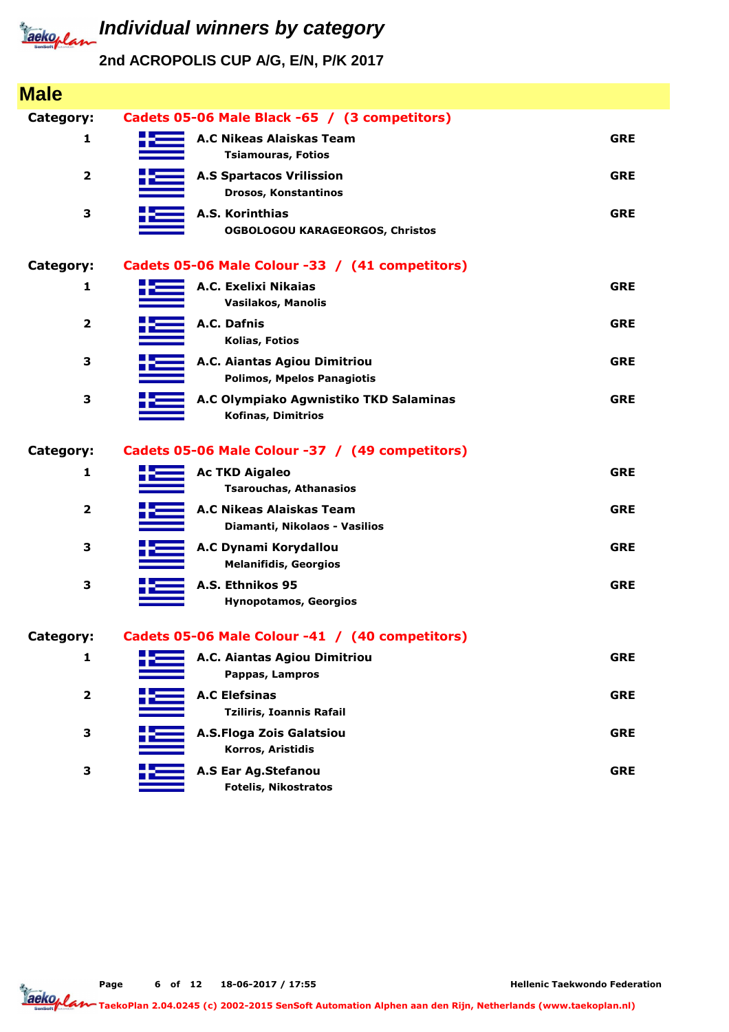

# **Individual winners by category**

**2nd ACROPOLIS CUP A/G, E/N, P/K 2017**

| <b>Male</b>      |                                                              |            |
|------------------|--------------------------------------------------------------|------------|
| Category:        | Cadets 05-06 Male Black -65 / (3 competitors)                |            |
| 1                | <b>A.C Nikeas Alaiskas Team</b><br><b>Tsiamouras, Fotios</b> | <b>GRE</b> |
| $\overline{2}$   | <b>A.S Spartacos Vrilission</b><br>Drosos, Konstantinos      | <b>GRE</b> |
| 3                | A.S. Korinthias<br><b>OGBOLOGOU KARAGEORGOS, Christos</b>    | <b>GRE</b> |
| <b>Category:</b> | Cadets 05-06 Male Colour -33 / (41 competitors)              |            |
| 1                | A.C. Exelixi Nikaias<br>Vasilakos, Manolis                   | <b>GRE</b> |
| $\overline{2}$   | A.C. Dafnis<br>Kolias, Fotios                                | <b>GRE</b> |
| 3                | A.C. Aiantas Agiou Dimitriou<br>Polimos, Mpelos Panagiotis   | <b>GRE</b> |
| 3                | A.C Olympiako Agwnistiko TKD Salaminas<br>Kofinas, Dimitrios | <b>GRE</b> |
| Category:        | Cadets 05-06 Male Colour -37 / (49 competitors)              |            |
| 1                | <b>Ac TKD Aigaleo</b><br><b>Tsarouchas, Athanasios</b>       | <b>GRE</b> |
| 2                | A.C Nikeas Alaiskas Team<br>Diamanti, Nikolaos - Vasilios    | <b>GRE</b> |
| 3                | A.C Dynami Korydallou<br><b>Melanifidis, Georgios</b>        | <b>GRE</b> |
| 3                | A.S. Ethnikos 95                                             | <b>GRE</b> |
|                  | <b>Hynopotamos, Georgios</b>                                 |            |
| Category:        | Cadets 05-06 Male Colour -41 / (40 competitors)              |            |
| 1                | A.C. Aiantas Agiou Dimitriou<br>Pappas, Lampros              | <b>GRE</b> |
| $\mathbf{2}$     | <b>A.C Elefsinas</b><br><b>Tziliris, Ioannis Rafail</b>      | <b>GRE</b> |
| 3                | A.S.Floga Zois Galatsiou<br>Korros, Aristidis                | <b>GRE</b> |

**Page of 12 18-06-2017 / 17:55 6**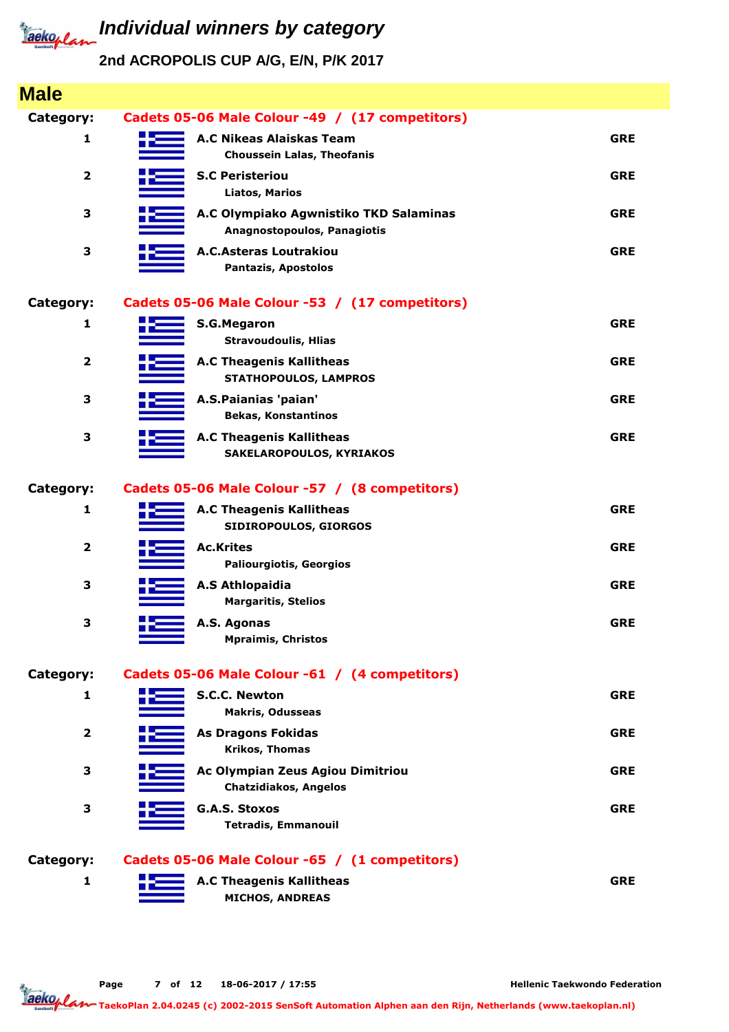

| <b>Male</b>             |                                                                       |            |
|-------------------------|-----------------------------------------------------------------------|------------|
| Category:               | Cadets 05-06 Male Colour -49 / (17 competitors)                       |            |
| 1                       | <b>A.C Nikeas Alaiskas Team</b><br><b>Choussein Lalas, Theofanis</b>  | <b>GRE</b> |
| $\overline{\mathbf{2}}$ | <b>S.C Peristeriou</b><br><b>Liatos, Marios</b>                       | <b>GRE</b> |
| 3                       | A.C Olympiako Agwnistiko TKD Salaminas<br>Anagnostopoulos, Panagiotis | <b>GRE</b> |
| 3                       | <b>A.C.Asteras Loutrakiou</b><br><b>Pantazis, Apostolos</b>           | <b>GRE</b> |
| <b>Category:</b>        | Cadets 05-06 Male Colour -53 / (17 competitors)                       |            |
| 1                       | <b>S.G.Megaron</b><br><b>Stravoudoulis, Hlias</b>                     | <b>GRE</b> |
| $\overline{\mathbf{2}}$ | <b>A.C Theagenis Kallitheas</b><br><b>STATHOPOULOS, LAMPROS</b>       | <b>GRE</b> |
| 3                       | A.S.Paianias 'paian'<br><b>Bekas, Konstantinos</b>                    | <b>GRE</b> |
| 3                       | <b>A.C Theagenis Kallitheas</b><br>SAKELAROPOULOS, KYRIAKOS           | <b>GRE</b> |
| <b>Category:</b>        | Cadets 05-06 Male Colour -57 / (8 competitors)                        |            |
| 1                       | <b>A.C Theagenis Kallitheas</b><br>SIDIROPOULOS, GIORGOS              | <b>GRE</b> |
| $\overline{\mathbf{2}}$ | <b>Ac.Krites</b><br><b>Paliourgiotis, Georgios</b>                    | <b>GRE</b> |
| 3                       | A.S Athlopaidia<br><b>Margaritis, Stelios</b>                         | <b>GRE</b> |
| 3                       | A.S. Agonas<br><b>Mpraimis, Christos</b>                              | <b>GRE</b> |
| Category:               | Cadets 05-06 Male Colour -61 / (4 competitors)                        |            |
| 1                       | <b>S.C.C. Newton</b><br><b>Makris, Odusseas</b>                       | <b>GRE</b> |
| $\overline{2}$          | <b>As Dragons Fokidas</b><br><b>Krikos, Thomas</b>                    | <b>GRE</b> |
| 3                       | Ac Olympian Zeus Agiou Dimitriou<br><b>Chatzidiakos, Angelos</b>      | <b>GRE</b> |
| 3                       | <b>G.A.S. Stoxos</b><br><b>Tetradis, Emmanouil</b>                    | <b>GRE</b> |
| <b>Category:</b>        | Cadets 05-06 Male Colour -65 / (1 competitors)                        |            |
| 1                       | <b>A.C Theagenis Kallitheas</b><br><b>MICHOS, ANDREAS</b>             | <b>GRE</b> |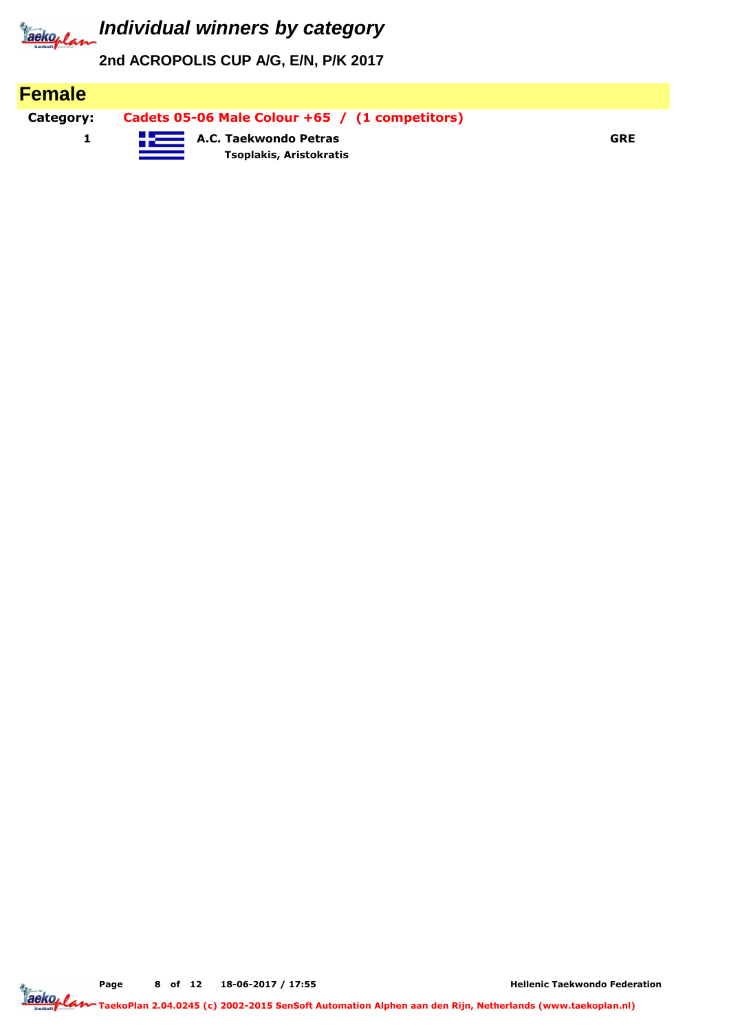

**2nd ACROPOLIS CUP A/G, E/N, P/K 2017**

| <b>Female</b> |                                                         |            |
|---------------|---------------------------------------------------------|------------|
| Category:     | Cadets 05-06 Male Colour +65 / (1 competitors)          |            |
|               | <b>A.C. Taekwondo Petras</b><br>Tsoplakis, Aristokratis | <b>GRE</b> |

**Page of 12 18-06-2017 / 17:55 8**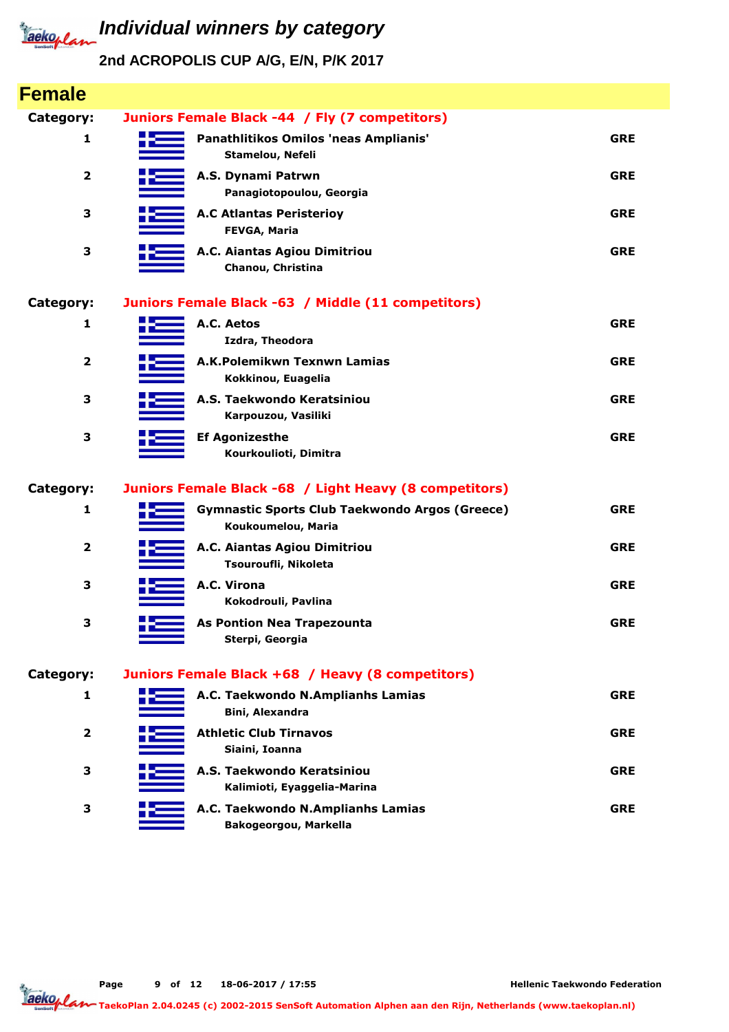

| <b>Female</b>           |                                                                             |            |
|-------------------------|-----------------------------------------------------------------------------|------------|
| Category:               | Juniors Female Black -44 / Fly (7 competitors)                              |            |
| 1                       | Panathlitikos Omilos 'neas Amplianis'<br>Stamelou, Nefeli                   | <b>GRE</b> |
| $\overline{\mathbf{2}}$ | A.S. Dynami Patrwn<br>Panagiotopoulou, Georgia                              | <b>GRE</b> |
| 3                       | <b>A.C Atlantas Peristerioy</b><br><b>FEVGA, Maria</b>                      | <b>GRE</b> |
| 3                       | A.C. Aiantas Agiou Dimitriou<br>Chanou, Christina                           | <b>GRE</b> |
| Category:               | Juniors Female Black -63 / Middle (11 competitors)                          |            |
| 1                       | A.C. Aetos<br>Izdra, Theodora                                               | <b>GRE</b> |
| $\overline{\mathbf{2}}$ | A.K.Polemikwn Texnwn Lamias<br>Kokkinou, Euagelia                           | <b>GRE</b> |
| 3                       | A.S. Taekwondo Keratsiniou<br>Karpouzou, Vasiliki                           | <b>GRE</b> |
| 3                       | <b>Ef Agonizesthe</b><br>Kourkoulioti, Dimitra                              | <b>GRE</b> |
| Category:               | Juniors Female Black -68 / Light Heavy (8 competitors)                      |            |
| 1                       | <b>Gymnastic Sports Club Taekwondo Argos (Greece)</b><br>Koukoumelou, Maria | <b>GRE</b> |
| $\overline{2}$          | A.C. Aiantas Agiou Dimitriou<br>Tsouroufli, Nikoleta                        | <b>GRE</b> |
| 3                       | A.C. Virona<br>Kokodrouli, Pavlina                                          | <b>GRE</b> |
| 3                       | <b>As Pontion Nea Trapezounta</b><br>Sterpi, Georgia                        | <b>GRE</b> |
| Category:               | Juniors Female Black +68 / Heavy (8 competitors)                            |            |
| 1                       | A.C. Taekwondo N.Amplianhs Lamias<br>Bini, Alexandra                        | <b>GRE</b> |
| $\overline{\mathbf{2}}$ | <b>Athletic Club Tirnavos</b><br>Siaini, Ioanna                             | <b>GRE</b> |
| 3                       | A.S. Taekwondo Keratsiniou<br>Kalimioti, Eyaggelia-Marina                   | <b>GRE</b> |
| 3                       | A.C. Taekwondo N.Amplianhs Lamias<br>Bakogeorgou, Markella                  | <b>GRE</b> |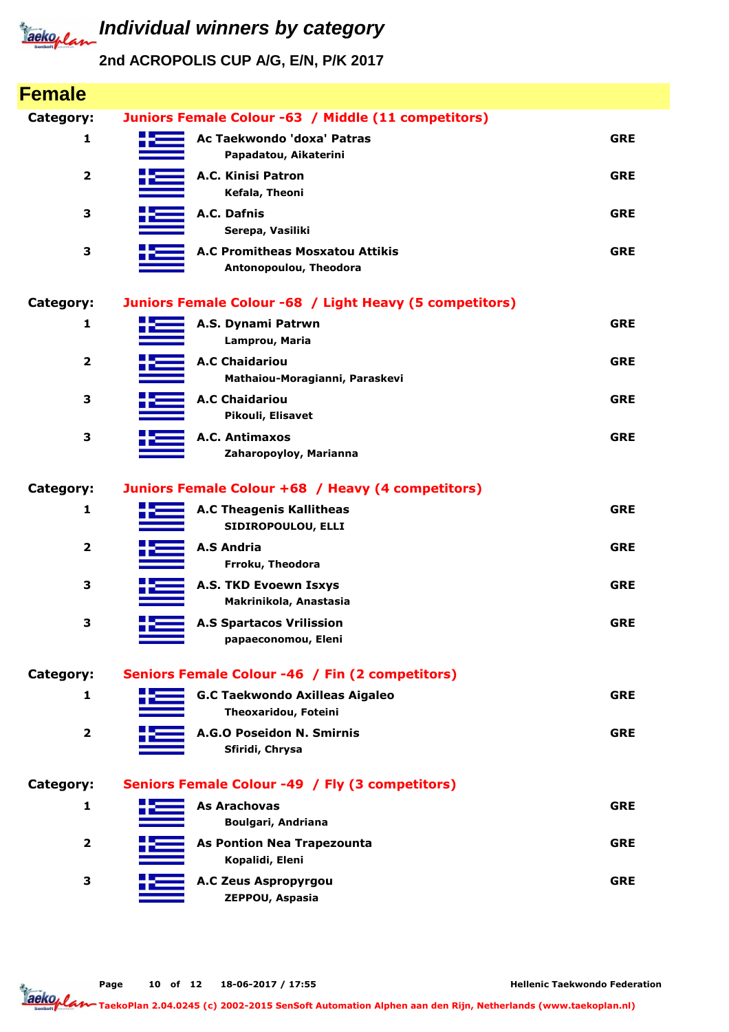

| <b>Female</b>           |                                                                  |            |
|-------------------------|------------------------------------------------------------------|------------|
| <b>Category:</b>        | Juniors Female Colour -63 / Middle (11 competitors)              |            |
| 1                       | Ac Taekwondo 'doxa' Patras<br>Papadatou, Aikaterini              | <b>GRE</b> |
| $\overline{\mathbf{2}}$ | A.C. Kinisi Patron<br>Kefala, Theoni                             | <b>GRE</b> |
| 3                       | A.C. Dafnis<br>Serepa, Vasiliki                                  | <b>GRE</b> |
| 3                       | <b>A.C Promitheas Mosxatou Attikis</b><br>Antonopoulou, Theodora | <b>GRE</b> |
| Category:               | Juniors Female Colour -68 / Light Heavy (5 competitors)          |            |
| 1                       | A.S. Dynami Patrwn<br>Lamprou, Maria                             | <b>GRE</b> |
| $\overline{\mathbf{2}}$ | <b>A.C Chaidariou</b><br>Mathaiou-Moragianni, Paraskevi          | <b>GRE</b> |
| 3                       | <b>A.C Chaidariou</b><br>Pikouli, Elisavet                       | <b>GRE</b> |
| 3                       | A.C. Antimaxos<br>Zaharopoyloy, Marianna                         | <b>GRE</b> |
| <b>Category:</b>        | Juniors Female Colour +68 / Heavy (4 competitors)                |            |
| $\mathbf{1}$            | <b>A.C Theagenis Kallitheas</b><br>SIDIROPOULOU, ELLI            | <b>GRE</b> |
| $\overline{\mathbf{2}}$ | <b>A.S Andria</b><br>Frroku, Theodora                            | <b>GRE</b> |
| 3                       | A.S. TKD Evoewn Isxys<br>Makrinikola, Anastasia                  | <b>GRE</b> |
| 3                       | <b>A.S Spartacos Vrilission</b><br>papaeconomou, Eleni           | <b>GRE</b> |
| Category:               | Seniors Female Colour -46 / Fin (2 competitors)                  |            |
| 1                       | <b>G.C Taekwondo Axilleas Aigaleo</b><br>Theoxaridou, Foteini    | <b>GRE</b> |
| $\overline{\mathbf{2}}$ | A.G.O Poseidon N. Smirnis<br>Sfiridi, Chrysa                     | <b>GRE</b> |
| Category:               | Seniors Female Colour -49 / Fly (3 competitors)                  |            |
| 1                       | <b>As Arachovas</b><br>Boulgari, Andriana                        | <b>GRE</b> |
| $\overline{\mathbf{2}}$ | <b>As Pontion Nea Trapezounta</b><br>Kopalidi, Eleni             | <b>GRE</b> |
| 3                       | A.C Zeus Aspropyrgou<br>ZEPPOU, Aspasia                          | <b>GRE</b> |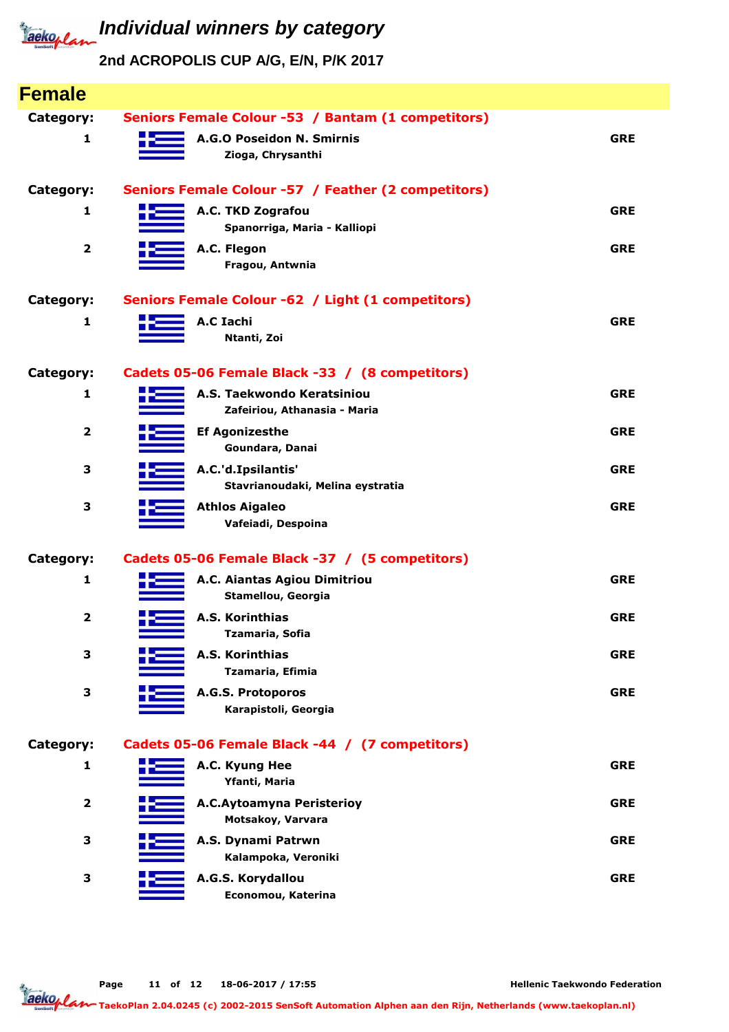

| <b>Female</b>           |                                                            |            |
|-------------------------|------------------------------------------------------------|------------|
| Category:               | Seniors Female Colour -53 / Bantam (1 competitors)         |            |
| 1                       | A.G.O Poseidon N. Smirnis<br>Zioga, Chrysanthi             | <b>GRE</b> |
| Category:               | Seniors Female Colour -57 / Feather (2 competitors)        |            |
| 1                       | A.C. TKD Zografou<br>Spanorriga, Maria - Kalliopi          | <b>GRE</b> |
| 2                       | A.C. Flegon<br>Fragou, Antwnia                             | <b>GRE</b> |
| <b>Category:</b>        | Seniors Female Colour -62 / Light (1 competitors)          |            |
| 1                       | <b>A.C Iachi</b><br>Ntanti, Zoi                            | <b>GRE</b> |
| <b>Category:</b>        | Cadets 05-06 Female Black -33 / (8 competitors)            |            |
| 1                       | A.S. Taekwondo Keratsiniou<br>Zafeiriou, Athanasia - Maria | <b>GRE</b> |
| 2                       | <b>Ef Agonizesthe</b><br>Goundara, Danai                   | <b>GRE</b> |
| 3                       | A.C.'d.Ipsilantis'<br>Stavrianoudaki, Melina eystratia     | <b>GRE</b> |
| 3                       | <b>Athlos Aigaleo</b><br>Vafeiadi, Despoina                | <b>GRE</b> |
| Category:               | Cadets 05-06 Female Black -37 / (5 competitors)            |            |
| 1                       | A.C. Aiantas Agiou Dimitriou<br>Stamellou, Georgia         | <b>GRE</b> |
| 2                       | A.S. Korinthias<br>Tzamaria, Sofia                         | <b>GRE</b> |
| 3                       | A.S. Korinthias<br>Tzamaria, Efimia                        | <b>GRE</b> |
| 3                       | A.G.S. Protoporos<br>Karapistoli, Georgia                  | <b>GRE</b> |
| Category:               | Cadets 05-06 Female Black -44 / (7 competitors)            |            |
| 1                       | A.C. Kyung Hee<br>Yfanti, Maria                            | <b>GRE</b> |
| $\overline{\mathbf{2}}$ | A.C.Aytoamyna Peristerioy<br>Motsakoy, Varvara             | <b>GRE</b> |
| 3                       | A.S. Dynami Patrwn<br>Kalampoka, Veroniki                  | <b>GRE</b> |
| 3                       | A.G.S. Korydallou<br>Economou, Katerina                    | <b>GRE</b> |